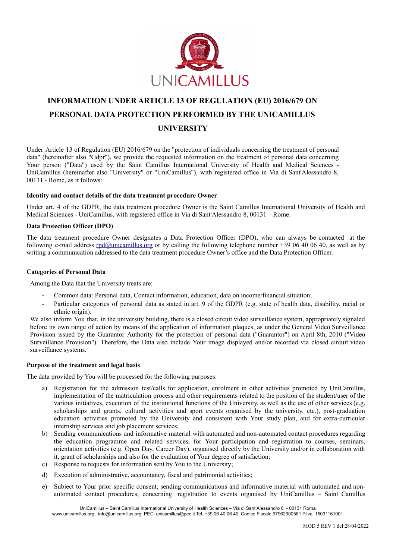

# **INFORMATION UNDER ARTICLE 13 OF REGULATION (EU) 2016/679 ON PERSONAL DATA PROTECTION PERFORMED BY THE UNICAMILLUS UNIVERSITY**

Under Article 13 of Regulation (EU) 2016/679 on the "protection of individuals concerning the treatment of personal data" (hereinafter also "Gdpr"), we provide the requested information on the treatment of personal data concerning Your person ("Data") used by the Saint Camillus International University of Health and Medical Sciences - UniCamillus (hereinafter also "University" or "UniCamillus"), with registered office in Via di Sant'Alessandro 8, 00131 - Rome, as it follows:

## **Identity and contact details of the data treatment procedure Owner**

Under art. 4 of the GDPR, the data treatment procedure Owner is the Saint Camillus International University of Health and Medical Sciences - UniCamillus, with registered office in Via di Sant'Alessandro 8, 00131 – Rome.

#### **Data Protection Officer (DPO)**

The data treatment procedure Owner designates a Data Protection Officer (DPO), who can always be contacted at the following e-mail address [rpd@unicamillus.org](mailto:rpd@unicamillus.org) or by calling the following telephone number +39 06 40 06 40, as well as by writing a communication addressed to the data treatment procedure Owner's office and the Data Protection Officer.

#### **Categories of Personal Data**

Among the Data that the University treats are:

- Common data: Personal data, Contact information, education, data on income/financial situation;
- Particular categories of personal data as stated in art. 9 of the GDPR (e.g. state of health data, disability, racial or ethnic origin).

We also inform You that, in the university building, there is a closed circuit video surveillance system, appropriately signaled before its own range of action by means of the application of information plaques, as under the General Video Surveillance Provision issued by the Guarantor Authority for the protection of personal data ("Guarantor") on April 8th, 2010 ("Video Surveillance Provision"). Therefore, the Data also include Your image displayed and/or recorded via closed circuit video surveillance systems.

## **Purpose of the treatment and legal basis**

The data provided by You will be processed for the following purposes:

- a) Registration for the admission test/calls for application, enrolment in other activities promoted by UniCamillus, implementation of the matriculation process and other requirements related to the position of the student/user of the various initiatives, execution of the institutional functions of the University, as well as the use of other services (e.g. scholarships and grants, cultural activities and sport events organised by the university, etc.), post-graduation education activities promoted by the University and consistent with Your study plan, and for extra-curricular internship services and job placement services;
- b) Sending communications and informative material with automated and non-automated contact procedures regarding the education programme and related services, for Your participation and registration to courses, seminars, orientation activities (e.g. Open Day, Career Day), organised directly by the University and/or in collaboration with it, grant of scholarships and also for the evaluation of Your degree of satisfaction;
- c) Response to requests for information sent by You to the University;
- d) Execution of administrative, accountancy, fiscal and patrimonial activities;
- e) Subject to Your prior specific consent, sending communications and informative material with automated and nonautomated contact procedures, concerning: registration to events organised by UniCamillus – Saint Camillus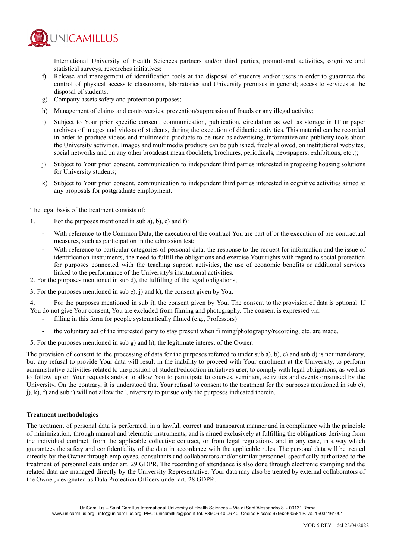

International University of Health Sciences partners and/or third parties, promotional activities, cognitive and statistical surveys, researches initiatives;

- f) Release and management of identification tools at the disposal of students and/or users in order to guarantee the control of physical access to classrooms, laboratories and University premises in general; access to services at the disposal of students:
- g) Company assets safety and protection purposes;
- h) Management of claims and controversies; prevention/suppression of frauds or any illegal activity;
- i) Subject to Your prior specific consent, communication, publication, circulation as well as storage in IT or paper archives of images and videos of students, during the execution of didactic activities. This material can be recorded in order to produce videos and multimedia products to be used as advertising, informative and publicity tools about the University activities. Images and multimedia products can be published, freely allowed, on institutional websites, social networks and on any other broadcast mean (booklets, brochures, periodicals, newspapers, exhibitions, etc..);
- j) Subject to Your prior consent, communication to independent third parties interested in proposing housing solutions for University students;
- k) Subject to Your prior consent, communication to independent third parties interested in cognitive activities aimed at any proposals for postgraduate employment.

The legal basis of the treatment consists of:

- 1. For the purposes mentioned in sub a), b), c) and f):
	- With reference to the Common Data, the execution of the contract You are part of or the execution of pre-contractual measures, such as participation in the admission test;
	- With reference to particular categories of personal data, the response to the request for information and the issue of identification instruments, the need to fulfill the obligations and exercise Your rights with regard to social protection for purposes connected with the teaching support activities, the use of economic benefits or additional services linked to the performance of the University's institutional activities.
- 2. For the purposes mentioned in sub d), the fulfilling of the legal obligations;
- 3. For the purposes mentioned in sub e), j) and k), the consent given by You.

4. For the purposes mentioned in sub i), the consent given by You. The consent to the provision of data is optional. If You do not give Your consent, You are excluded from filming and photography. The consent is expressed via:

- filling in this form for people systematically filmed (e.g., Professors)
- the voluntary act of the interested party to stay present when filming/photography/recording, etc. are made.
- 5. For the purposes mentioned in sub g) and h), the legitimate interest of the Owner.

The provision of consent to the processing of data for the purposes referred to under sub a), b), c) and sub d) is not mandatory, but any refusal to provide Your data will result in the inability to proceed with Your enrolment at the University, to perform administrative activities related to the position of student/education initiatives user, to comply with legal obligations, as well as to follow up on Your requests and/or to allow You to participate to courses, seminars, activities and events organised by the University. On the contrary, it is understood that Your refusal to consent to the treatment for the purposes mentioned in sub e),  $j$ ,  $k$ ),  $f$ ) and sub i) will not allow the University to pursue only the purposes indicated therein.

#### **Treatment methodologies**

The treatment of personal data is performed, in a lawful, correct and transparent manner and in compliance with the principle of minimization, through manual and telematic instruments, and is aimed exclusively at fulfilling the obligations deriving from the individual contract, from the applicable collective contract, or from legal regulations, and in any case, in a way which guarantees the safety and confidentiality of the data in accordance with the applicable rules. The personal data will be treated directly by the Owner through employees, consultants and collaborators and/or similar personnel, specifically authorized to the treatment of personnel data under art. 29 GDPR. The recording of attendance is also done through electronic stamping and the related data are managed directly by the University Representative. Your data may also be treated by external collaborators of the Owner, designated as Data Protection Officers under art. 28 GDPR.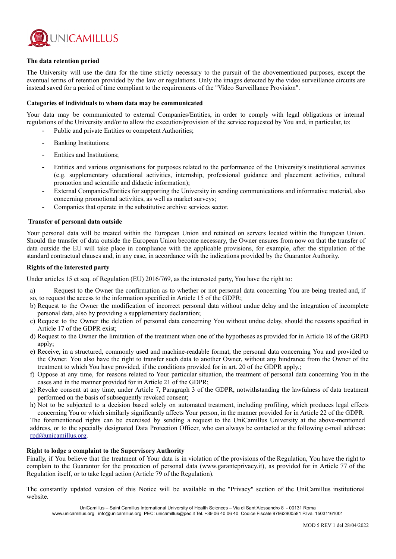

#### **The data retention period**

The University will use the data for the time strictly necessary to the pursuit of the abovementioned purposes, except the eventual terms of retention provided by the law or regulations. Only the images detected by the video surveillance circuits are instead saved for a period of time compliant to the requirements of the "Video Surveillance Provision".

#### **Categories of individuals to whom data may be communicated**

Your data may be communicated to external Companies/Entities, in order to comply with legal obligations or internal regulations of the University and/or to allow the execution/provision of the service requested by You and, in particular, to:

- Public and private Entities or competent Authorities;
- Banking Institutions:
- Entities and Institutions;
- Entities and various organisations for purposes related to the performance of the University's institutional activities (e.g. supplementary educational activities, internship, professional guidance and placement activities, cultural promotion and scientific and didactic information);
- External Companies/Entities for supporting the University in sending communications and informative material, also concerning promotional activities, as well as market surveys;
- Companies that operate in the substitutive archive services sector.

#### **Transfer of personal data outside**

Your personal data will be treated within the European Union and retained on servers located within the European Union. Should the transfer of data outside the European Union become necessary, the Owner ensures from now on that the transfer of data outside the EU will take place in compliance with the applicable provisions, for example, after the stipulation of the standard contractual clauses and, in any case, in accordance with the indications provided by the Guarantor Authority.

#### **Rights of the interested party**

Under articles 15 et seq. of Regulation (EU) 2016/769, as the interested party, You have the right to:

- a) Request to the Owner the confirmation as to whether or not personal data concerning You are being treated and, if
- so, to request the access to the information specified in Article 15 of the GDPR;
- b) Request to the Owner the modification of incorrect personal data without undue delay and the integration of incomplete personal data, also by providing a supplementary declaration;
- c) Request to the Owner the deletion of personal data concerning You without undue delay, should the reasons specified in Article 17 of the GDPR exist;
- d) Request to the Owner the limitation of the treatment when one of the hypotheses as provided for in Article 18 of the GRPD apply;
- e) Receive, in a structured, commonly used and machine-readable format, the personal data concerning You and provided to the Owner. You also have the right to transfer such data to another Owner, without any hindrance from the Owner of the treatment to which You have provided, if the conditions provided for in art. 20 of the GDPR apply.;
- f) Oppose at any time, for reasons related to Your particular situation, the treatment of personal data concerning You in the cases and in the manner provided for in Article 21 of the GDPR;
- g) Revoke consent at any time, under Article 7, Paragraph 3 of the GDPR, notwithstanding the lawfulness of data treatment performed on the basis of subsequently revoked consent;
- h) Not to be subjected to a decision based solely on automated treatment, including profiling, which produces legal effects concerning You or which similarly significantly affects Your person, in the manner provided for in Article 22 of the GDPR.

The forementioned rights can be exercised by sending a request to the UniCamillus University at the above-mentioned address, or to the specially designated Data Protection Officer, who can always be contacted at the following e-mail address: [rpd@unicamillus.org](mailto:rpd@unicamillus.org).

#### **Right to lodge a complaint to the Supervisory Authority**

Finally, if You believe that the treatment of Your data is in violation of the provisions of the Regulation, You have the right to complain to the Guarantor for the protection of personal data (www.garanteprivacy.it), as provided for in Article 77 of the Regulation itself, or to take legal action (Article 79 of the Regulation).

The constantly updated version of this Notice will be available in the "Privacy" section of the UniCamillus institutional website.